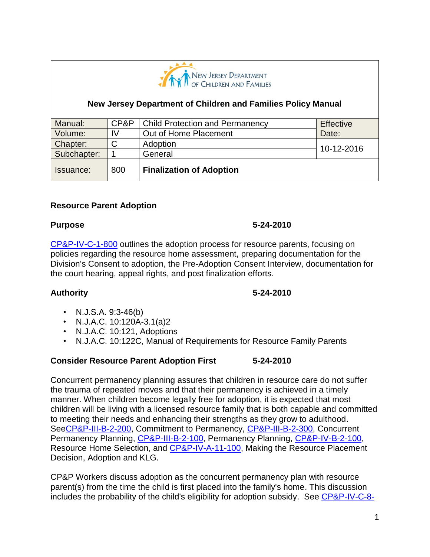

### **New Jersey Department of Children and Families Policy Manual**

| Manual:     | CP&P   | <b>Child Protection and Permanency</b> | <b>Effective</b> |
|-------------|--------|----------------------------------------|------------------|
| Volume:     | IV     | Out of Home Placement                  | Date:            |
| Chapter:    | ◠<br>U | Adoption                               | 10-12-2016       |
| Subchapter: |        | General                                |                  |
| Issuance:   | 800    | <b>Finalization of Adoption</b>        |                  |

#### **Resource Parent Adoption**

#### **Purpose 5-24-2010**

[CP&P-IV-C-1-800](CPP-IV-C-1-800_issuance.shtml) outlines the adoption process for resource parents, focusing on policies regarding the resource home assessment, preparing documentation for the Division's Consent to adoption, the Pre-Adoption Consent Interview, documentation for the court hearing, appeal rights, and post finalization efforts.

#### **Authority 5-24-2010**

- N.J.S.A.  $9:3-46(b)$
- N.J.A.C. 10:120A-3.1(a)2
- N.J.A.C. 10:121, Adoptions
- N.J.A.C. 10:122C, Manual of Requirements for Resource Family Parents

#### **Consider Resource Parent Adoption First 5-24-2010**

Concurrent permanency planning assures that children in resource care do not suffer the trauma of repeated moves and that their permanency is achieved in a timely manner. When children become legally free for adoption, it is expected that most children will be living with a licensed resource family that is both capable and committed to meeting their needs and enhancing their strengths as they grow to adulthood. Se[eCP&P-III-B-2-200,](CPP-III-B-2-200_issuance.shtml) Commitment to Permanency, [CP&P-III-B-2-300,](CPP-III-B-2-300_issuance.shtml) Concurrent Permanency Planning, [CP&P-III-B-2-100,](CPP-III-B-2-100_issuance.shtml) Permanency Planning, [CP&P-IV-B-2-100,](CPP-IV-B-2-100_issuance.shtml) Resource Home Selection, and [CP&P-IV-A-11-100,](CPP-IV-A-11-100_issuance.shtml) Making the Resource Placement Decision, Adoption and KLG.

CP&P Workers discuss adoption as the concurrent permanency plan with resource parent(s) from the time the child is first placed into the family's home. This discussion includes the probability of the child's eligibility for adoption subsidy. See [CP&P-IV-C-8-](CPP-IV-C-8-100_issuance.shtml)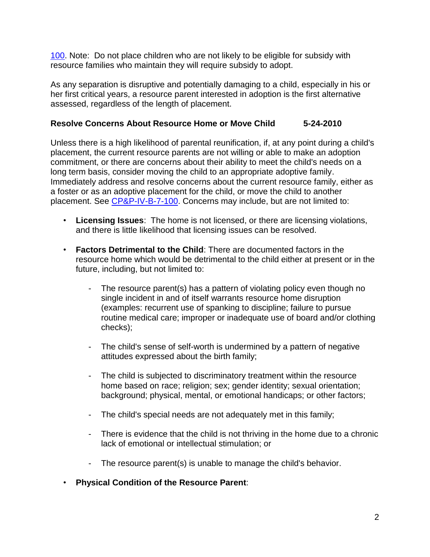[100.](CPP-IV-C-8-100_issuance.shtml) Note: Do not place children who are not likely to be eligible for subsidy with resource families who maintain they will require subsidy to adopt.

As any separation is disruptive and potentially damaging to a child, especially in his or her first critical years, a resource parent interested in adoption is the first alternative assessed, regardless of the length of placement.

#### **Resolve Concerns About Resource Home or Move Child 5-24-2010**

Unless there is a high likelihood of parental reunification, if, at any point during a child's placement, the current resource parents are not willing or able to make an adoption commitment, or there are concerns about their ability to meet the child's needs on a long term basis, consider moving the child to an appropriate adoptive family. Immediately address and resolve concerns about the current resource family, either as a foster or as an adoptive placement for the child, or move the child to another placement. See [CP&P-IV-B-7-100.](CPP-IV-B-7-100_issuance.shtml) Concerns may include, but are not limited to:

- **Licensing Issues**: The home is not licensed, or there are licensing violations, and there is little likelihood that licensing issues can be resolved.
- **Factors Detrimental to the Child**: There are documented factors in the resource home which would be detrimental to the child either at present or in the future, including, but not limited to:
	- The resource parent(s) has a pattern of violating policy even though no single incident in and of itself warrants resource home disruption (examples: recurrent use of spanking to discipline; failure to pursue routine medical care; improper or inadequate use of board and/or clothing checks);
	- The child's sense of self-worth is undermined by a pattern of negative attitudes expressed about the birth family;
	- The child is subjected to discriminatory treatment within the resource home based on race; religion; sex; gender identity; sexual orientation; background; physical, mental, or emotional handicaps; or other factors;
	- The child's special needs are not adequately met in this family;
	- There is evidence that the child is not thriving in the home due to a chronic lack of emotional or intellectual stimulation; or
	- The resource parent(s) is unable to manage the child's behavior.
- **Physical Condition of the Resource Parent**: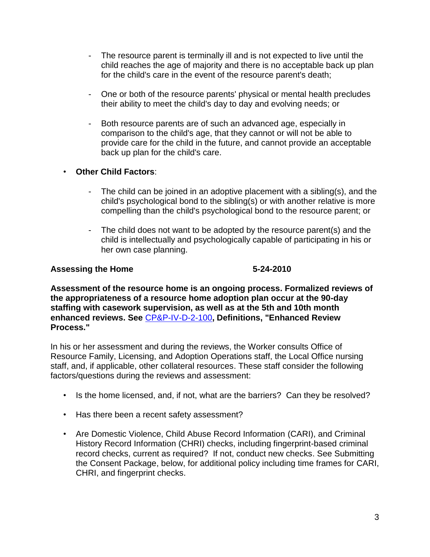- The resource parent is terminally ill and is not expected to live until the child reaches the age of majority and there is no acceptable back up plan for the child's care in the event of the resource parent's death;
- One or both of the resource parents' physical or mental health precludes their ability to meet the child's day to day and evolving needs; or
- Both resource parents are of such an advanced age, especially in comparison to the child's age, that they cannot or will not be able to provide care for the child in the future, and cannot provide an acceptable back up plan for the child's care.

# • **Other Child Factors**:

- The child can be joined in an adoptive placement with a sibling(s), and the child's psychological bond to the sibling(s) or with another relative is more compelling than the child's psychological bond to the resource parent; or
- The child does not want to be adopted by the resource parent(s) and the child is intellectually and psychologically capable of participating in his or her own case planning.

#### Assessing the Home 6-24-2010

**Assessment of the resource home is an ongoing process. Formalized reviews of the appropriateness of a resource home adoption plan occur at the 90-day staffing with casework supervision, as well as at the 5th and 10th month enhanced reviews. See** [CP&P-IV-D-2-100](CPP-IV-D-2-100_issuance.shtml)**, Definitions, "Enhanced Review Process."**

In his or her assessment and during the reviews, the Worker consults Office of Resource Family, Licensing, and Adoption Operations staff, the Local Office nursing staff, and, if applicable, other collateral resources. These staff consider the following factors/questions during the reviews and assessment:

- Is the home licensed, and, if not, what are the barriers? Can they be resolved?
- Has there been a recent safety assessment?
- Are Domestic Violence, Child Abuse Record Information (CARI), and Criminal History Record Information (CHRI) checks, including fingerprint-based criminal record checks, current as required? If not, conduct new checks. See Submitting the Consent Package, below, for additional policy including time frames for CARI, CHRI, and fingerprint checks.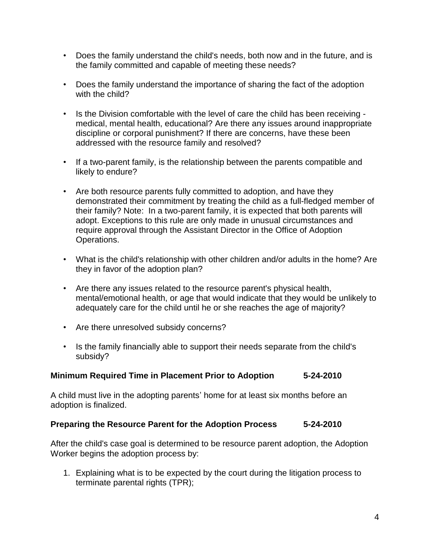- Does the family understand the child's needs, both now and in the future, and is the family committed and capable of meeting these needs?
- Does the family understand the importance of sharing the fact of the adoption with the child?
- Is the Division comfortable with the level of care the child has been receiving medical, mental health, educational? Are there any issues around inappropriate discipline or corporal punishment? If there are concerns, have these been addressed with the resource family and resolved?
- If a two-parent family, is the relationship between the parents compatible and likely to endure?
- Are both resource parents fully committed to adoption, and have they demonstrated their commitment by treating the child as a full-fledged member of their family? Note: In a two-parent family, it is expected that both parents will adopt. Exceptions to this rule are only made in unusual circumstances and require approval through the Assistant Director in the Office of Adoption Operations.
- What is the child's relationship with other children and/or adults in the home? Are they in favor of the adoption plan?
- Are there any issues related to the resource parent's physical health, mental/emotional health, or age that would indicate that they would be unlikely to adequately care for the child until he or she reaches the age of majority?
- Are there unresolved subsidy concerns?
- Is the family financially able to support their needs separate from the child's subsidy?

# **Minimum Required Time in Placement Prior to Adoption 5-24-2010**

A child must live in the adopting parents' home for at least six months before an adoption is finalized.

# **Preparing the Resource Parent for the Adoption Process 5-24-2010**

After the child's case goal is determined to be resource parent adoption, the Adoption Worker begins the adoption process by:

1. Explaining what is to be expected by the court during the litigation process to terminate parental rights (TPR);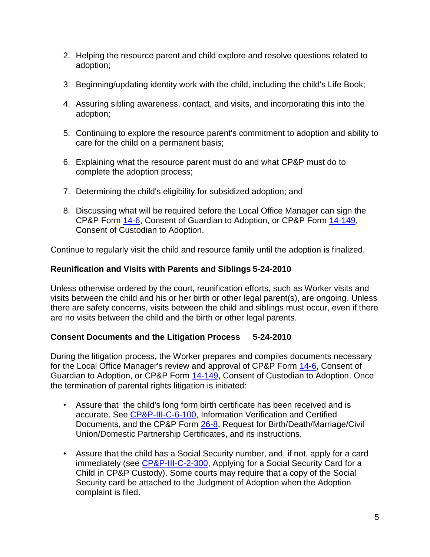- 2. Helping the resource parent and child explore and resolve questions related to adoption;
- 3. Beginning/updating identity work with the child, including the child's Life Book;
- 4. Assuring sibling awareness, contact, and visits, and incorporating this into the adoption;
- 5. Continuing to explore the resource parent's commitment to adoption and ability to care for the child on a permanent basis;
- 6. Explaining what the resource parent must do and what CP&P must do to complete the adoption process;
- 7. Determining the child's eligibility for subsidized adoption; and
- 8. Discussing what will be required before the Local Office Manager can sign the CP&P Form [14-6,](CPP-X-A-1-14.6_issuance.shtml) Consent of Guardian to Adoption, or CP&P Form [14-149,](CPP-X-A-1-14.149_issuance.shtml) Consent of Custodian to Adoption.

Continue to regularly visit the child and resource family until the adoption is finalized.

# **Reunification and Visits with Parents and Siblings 5-24-2010**

Unless otherwise ordered by the court, reunification efforts, such as Worker visits and visits between the child and his or her birth or other legal parent(s), are ongoing. Unless there are safety concerns, visits between the child and siblings must occur, even if there are no visits between the child and the birth or other legal parents.

# **Consent Documents and the Litigation Process 5-24-2010**

During the litigation process, the Worker prepares and compiles documents necessary for the Local Office Manager's review and approval of CP&P Form [14-6,](CPP-X-A-1-14.6_issuance.shtml) Consent of Guardian to Adoption, or CP&P Form [14-149,](CPP-X-A-1-14.149_issuance.shtml) Consent of Custodian to Adoption. Once the termination of parental rights litigation is initiated:

- Assure that the child's long form birth certificate has been received and is accurate. See [CP&P-III-C-6-100,](CPP-III-C-6-100_issuance.shtml) Information Verification and Certified Documents, and the CP&P Form [26-8,](CPP-X-A-1-26.8_issuance.shtml) Request for Birth/Death/Marriage/Civil Union/Domestic Partnership Certificates, and its instructions.
- Assure that the child has a Social Security number, and, if not, apply for a card immediately (see [CP&P-III-C-2-300,](CPP-III-C-2-300_issuance.shtml) Applying for a Social Security Card for a Child in CP&P Custody). Some courts may require that a copy of the Social Security card be attached to the Judgment of Adoption when the Adoption complaint is filed.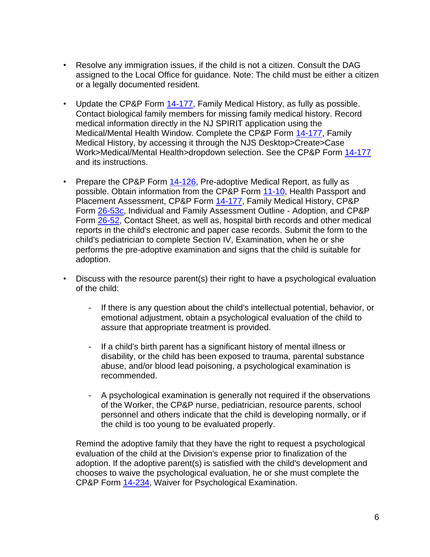- Resolve any immigration issues, if the child is not a citizen. Consult the DAG assigned to the Local Office for guidance. Note: The child must be either a citizen or a legally documented resident.
- Update the CP&P Form [14-177,](CPP-X-A-1-14.177_issuance.shtml) Family Medical History, as fully as possible. Contact biological family members for missing family medical history. Record medical information directly in the NJ SPIRIT application using the Medical/Mental Health Window. Complete the CP&P Form [14-177,](CPP-X-A-1-14.177_issuance.shtml) Family Medical History, by accessing it through the NJS Desktop>Create>Case Work>Medical/Mental Health>dropdown selection. See the CP&P Form [14-177](CPP-X-A-1-14.177_issuance.shtml) and its instructions.
- Prepare the CP&P Form  $14-126$ , Pre-adoptive Medical Report, as fully as possible. Obtain information from the CP&P Form [11-10,](CPP-X-A-1-11.1_issuance.shtml) Health Passport and Placement Assessment, CP&P Form [14-177,](CPP-X-A-1-14.177_issuance.shtml) Family Medical History, CP&P Form [26-53c,](CPP-X-A-1-26.53c_issuance.shtml) Individual and Family Assessment Outline - Adoption, and CP&P Form [26-52,](CPP-X-A-1-26.52_issuance.shtml) Contact Sheet, as well as, hospital birth records and other medical reports in the child's electronic and paper case records. Submit the form to the child's pediatrician to complete Section IV, Examination, when he or she performs the pre-adoptive examination and signs that the child is suitable for adoption.
- Discuss with the resource parent(s) their right to have a psychological evaluation of the child:
	- If there is any question about the child's intellectual potential, behavior, or emotional adjustment, obtain a psychological evaluation of the child to assure that appropriate treatment is provided.
	- If a child's birth parent has a significant history of mental illness or disability, or the child has been exposed to trauma, parental substance abuse, and/or blood lead poisoning, a psychological examination is recommended.
	- A psychological examination is generally not required if the observations of the Worker, the CP&P nurse, pediatrician, resource parents, school personnel and others indicate that the child is developing normally, or if the child is too young to be evaluated properly.

Remind the adoptive family that they have the right to request a psychological evaluation of the child at the Division's expense prior to finalization of the adoption. If the adoptive parent(s) is satisfied with the child's development and chooses to waive the psychological evaluation, he or she must complete the CP&P Form [14-234,](CPP-X-A-1-14.234_issuance.shtml) Waiver for Psychological Examination.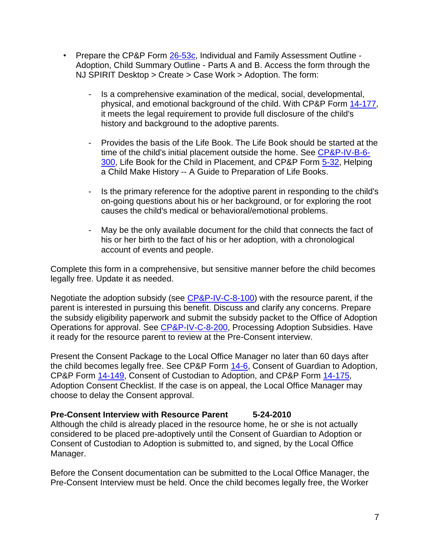- Prepare the CP&P Form [26-53c,](CPP-X-A-1-26.53c_issuance.shtml) Individual and Family Assessment Outline -Adoption, Child Summary Outline - Parts A and B. Access the form through the NJ SPIRIT Desktop > Create > Case Work > Adoption. The form:
	- Is a comprehensive examination of the medical, social, developmental, physical, and emotional background of the child. With CP&P Form [14-177,](CPP-X-A-1-14.177_issuance.shtml) it meets the legal requirement to provide full disclosure of the child's history and background to the adoptive parents.
	- Provides the basis of the Life Book. The Life Book should be started at the time of the child's initial placement outside the home. See [CP&P-IV-B-6-](CPP-IV-B-6-300_issuance.shtml) [300,](CPP-IV-B-6-300_issuance.shtml) Life Book for the Child in Placement, and CP&P Form [5-32,](CPP-X-A-1-5.32_issuance.shtml) Helping a Child Make History -- A Guide to Preparation of Life Books.
	- Is the primary reference for the adoptive parent in responding to the child's on-going questions about his or her background, or for exploring the root causes the child's medical or behavioral/emotional problems.
	- May be the only available document for the child that connects the fact of his or her birth to the fact of his or her adoption, with a chronological account of events and people.

Complete this form in a comprehensive, but sensitive manner before the child becomes legally free. Update it as needed.

Negotiate the adoption subsidy (see [CP&P-IV-C-8-100\)](CPP-IV-C-8-100_issuance.shtml) with the resource parent, if the parent is interested in pursuing this benefit. Discuss and clarify any concerns. Prepare the subsidy eligibility paperwork and submit the subsidy packet to the Office of Adoption Operations for approval. See [CP&P-IV-C-8-200,](CPP-IV-C-8-200_issuance.shtml) Processing Adoption Subsidies. Have it ready for the resource parent to review at the Pre-Consent interview.

Present the Consent Package to the Local Office Manager no later than 60 days after the child becomes legally free. See CP&P Form [14-6,](CPP-X-A-1-14.6_issuance.shtml) Consent of Guardian to Adoption, CP&P Form [14-149,](CPP-X-A-1-14.149_issuance.shtml) Consent of Custodian to Adoption, and CP&P Form [14-175,](CPP-X-A-1-14.175_issuance.shtml) Adoption Consent Checklist. If the case is on appeal, the Local Office Manager may choose to delay the Consent approval.

# **Pre-Consent Interview with Resource Parent 5-24-2010**

Although the child is already placed in the resource home, he or she is not actually considered to be placed pre-adoptively until the Consent of Guardian to Adoption or Consent of Custodian to Adoption is submitted to, and signed, by the Local Office Manager.

Before the Consent documentation can be submitted to the Local Office Manager, the Pre-Consent Interview must be held. Once the child becomes legally free, the Worker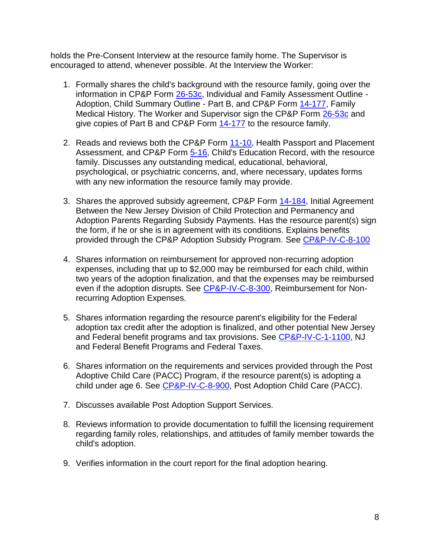holds the Pre-Consent Interview at the resource family home. The Supervisor is encouraged to attend, whenever possible. At the Interview the Worker:

- 1. Formally shares the child's background with the resource family, going over the information in CP&P Form [26-53c,](CPP-X-A-1-26.53c_issuance.shtml) Individual and Family Assessment Outline - Adoption, Child Summary Outline - Part B, and CP&P Form [14-177,](CPP-X-A-1-14.177_issuance.shtml) Family Medical History. The Worker and Supervisor sign the CP&P Form [26-53c](CPP-X-A-1-26.53c_issuance.shtml) and give copies of Part B and CP&P Form [14-177](CPP-X-A-1-14.177_issuance.shtml) to the resource family.
- 2. Reads and reviews both the CP&P Form [11-10,](CPP-X-A-1-11.1_issuance.shtml) Health Passport and Placement Assessment, and CP&P Form [5-16,](CPP-X-A-1-5.16_issuance.shtml) Child's Education Record, with the resource family. Discusses any outstanding medical, educational, behavioral, psychological, or psychiatric concerns, and, where necessary, updates forms with any new information the resource family may provide.
- 3. Shares the approved subsidy agreement, CP&P Form [14-184,](CPP-X-A-1-14.184_issuance.shtml) Initial Agreement Between the New Jersey Division of Child Protection and Permanency and Adoption Parents Regarding Subsidy Payments. Has the resource parent(s) sign the form, if he or she is in agreement with its conditions. Explains benefits provided through the CP&P Adoption Subsidy Program. See [CP&P-IV-C-8-100](CPP-IV-C-8-100_issuance.shtml)
- 4. Shares information on reimbursement for approved non-recurring adoption expenses, including that up to \$2,000 may be reimbursed for each child, within two years of the adoption finalization, and that the expenses may be reimbursed even if the adoption disrupts. See [CP&P-IV-C-8-300,](CPP-IV-C-8-300_issuance.shtml) Reimbursement for Nonrecurring Adoption Expenses.
- 5. Shares information regarding the resource parent's eligibility for the Federal adoption tax credit after the adoption is finalized, and other potential New Jersey and Federal benefit programs and tax provisions. See [CP&P-IV-C-1-1100,](CPP-IV-C-1-1100_issuance.shtml) NJ and Federal Benefit Programs and Federal Taxes.
- 6. Shares information on the requirements and services provided through the Post Adoptive Child Care (PACC) Program, if the resource parent(s) is adopting a child under age 6. See [CP&P-IV-C-8-900,](CPP-IV-C-8-900_issuance.shtml) Post Adoption Child Care (PACC).
- 7. Discusses available Post Adoption Support Services.
- 8. Reviews information to provide documentation to fulfill the licensing requirement regarding family roles, relationships, and attitudes of family member towards the child's adoption.
- 9. Verifies information in the court report for the final adoption hearing.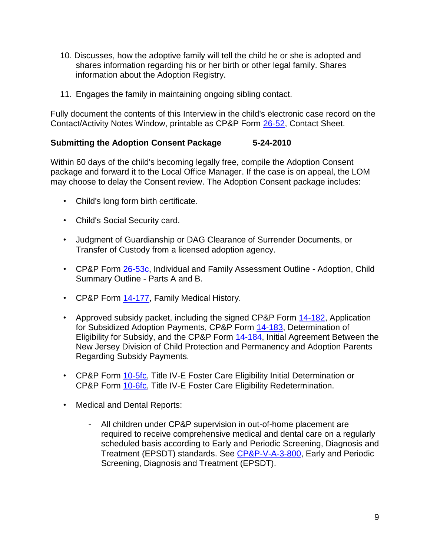- 10. Discusses, how the adoptive family will tell the child he or she is adopted and shares information regarding his or her birth or other legal family. Shares information about the Adoption Registry.
- 11. Engages the family in maintaining ongoing sibling contact.

Fully document the contents of this Interview in the child's electronic case record on the Contact/Activity Notes Window, printable as CP&P Form [26-52,](CPP-X-A-1-26.52_issuance.shtml) Contact Sheet.

#### **Submitting the Adoption Consent Package 5-24-2010**

Within 60 days of the child's becoming legally free, compile the Adoption Consent package and forward it to the Local Office Manager. If the case is on appeal, the LOM may choose to delay the Consent review. The Adoption Consent package includes:

- Child's long form birth certificate.
- Child's Social Security card.
- Judgment of Guardianship or DAG Clearance of Surrender Documents, or Transfer of Custody from a licensed adoption agency.
- CP&P Form [26-53c,](CPP-X-A-1-26.53c_issuance.shtml) Individual and Family Assessment Outline Adoption, Child Summary Outline - Parts A and B.
- CP&P Form [14-177,](CPP-X-A-1-14.177_issuance.shtml) Family Medical History.
- Approved subsidy packet, including the signed CP&P Form [14-182,](CPP-X-A-1-14.182_issuance.shtml) Application for Subsidized Adoption Payments, CP&P Form [14-183,](CPP-X-A-1-14.183_issuance.shtml) Determination of Eligibility for Subsidy, and the CP&P Form [14-184,](CPP-X-A-1-14.184_issuance.shtml) Initial Agreement Between the New Jersey Division of Child Protection and Permanency and Adoption Parents Regarding Subsidy Payments.
- CP&P Form [10-5fc,](CPP-X-A-1-10.5fc_issuance.shtml) Title IV-E Foster Care Eligibility Initial Determination or CP&P Form [10-6fc,](CPP-X-A-1-10.6fc_issuance.shtml) Title IV-E Foster Care Eligibility Redetermination.
- Medical and Dental Reports:
	- All children under CP&P supervision in out-of-home placement are required to receive comprehensive medical and dental care on a regularly scheduled basis according to Early and Periodic Screening, Diagnosis and Treatment (EPSDT) standards. See [CP&P-V-A-3-800,](CPP-V-A-3-800_issuance.shtml) Early and Periodic Screening, Diagnosis and Treatment (EPSDT).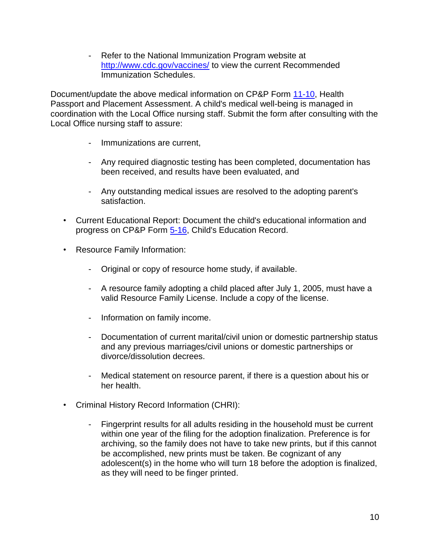- Refer to the National Immunization Program website at <http://www.cdc.gov/vaccines/> to view the current Recommended Immunization Schedules.

Document/update the above medical information on CP&P Form [11-10,](CPP-X-A-1-11.1_issuance.shtml) Health Passport and Placement Assessment. A child's medical well-being is managed in coordination with the Local Office nursing staff. Submit the form after consulting with the Local Office nursing staff to assure:

- Immunizations are current,
- Any required diagnostic testing has been completed, documentation has been received, and results have been evaluated, and
- Any outstanding medical issues are resolved to the adopting parent's satisfaction.
- Current Educational Report: Document the child's educational information and progress on CP&P Form [5-16,](CPP-X-A-1-5.16_issuance.shtml) Child's Education Record.
- Resource Family Information:
	- Original or copy of resource home study, if available.
	- A resource family adopting a child placed after July 1, 2005, must have a valid Resource Family License. Include a copy of the license.
	- Information on family income.
	- Documentation of current marital/civil union or domestic partnership status and any previous marriages/civil unions or domestic partnerships or divorce/dissolution decrees.
	- Medical statement on resource parent, if there is a question about his or her health.
- Criminal History Record Information (CHRI):
	- Fingerprint results for all adults residing in the household must be current within one year of the filing for the adoption finalization. Preference is for archiving, so the family does not have to take new prints, but if this cannot be accomplished, new prints must be taken. Be cognizant of any adolescent(s) in the home who will turn 18 before the adoption is finalized, as they will need to be finger printed.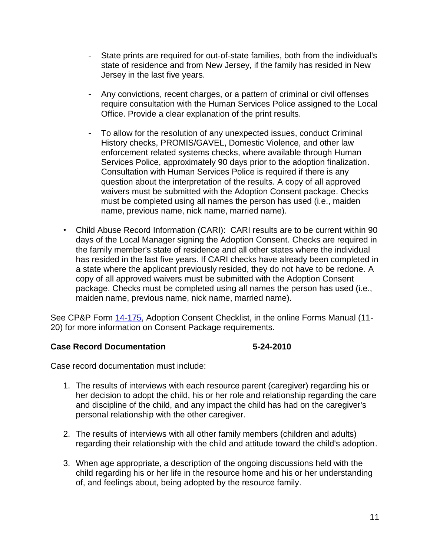- State prints are required for out-of-state families, both from the individual's state of residence and from New Jersey, if the family has resided in New Jersey in the last five years.
- Any convictions, recent charges, or a pattern of criminal or civil offenses require consultation with the Human Services Police assigned to the Local Office. Provide a clear explanation of the print results.
- To allow for the resolution of any unexpected issues, conduct Criminal History checks, PROMIS/GAVEL, Domestic Violence, and other law enforcement related systems checks, where available through Human Services Police, approximately 90 days prior to the adoption finalization. Consultation with Human Services Police is required if there is any question about the interpretation of the results. A copy of all approved waivers must be submitted with the Adoption Consent package. Checks must be completed using all names the person has used (i.e., maiden name, previous name, nick name, married name).
- Child Abuse Record Information (CARI): CARI results are to be current within 90 days of the Local Manager signing the Adoption Consent. Checks are required in the family member's state of residence and all other states where the individual has resided in the last five years. If CARI checks have already been completed in a state where the applicant previously resided, they do not have to be redone. A copy of all approved waivers must be submitted with the Adoption Consent package. Checks must be completed using all names the person has used (i.e., maiden name, previous name, nick name, married name).

See CP&P Form [14-175,](CPP-X-A-1-14.175_issuance.shtml) Adoption Consent Checklist, in the online Forms Manual (11- 20) for more information on Consent Package requirements.

# **Case Record Documentation 5-24-2010**

Case record documentation must include:

- 1. The results of interviews with each resource parent (caregiver) regarding his or her decision to adopt the child, his or her role and relationship regarding the care and discipline of the child, and any impact the child has had on the caregiver's personal relationship with the other caregiver.
- 2. The results of interviews with all other family members (children and adults) regarding their relationship with the child and attitude toward the child's adoption.
- 3. When age appropriate, a description of the ongoing discussions held with the child regarding his or her life in the resource home and his or her understanding of, and feelings about, being adopted by the resource family.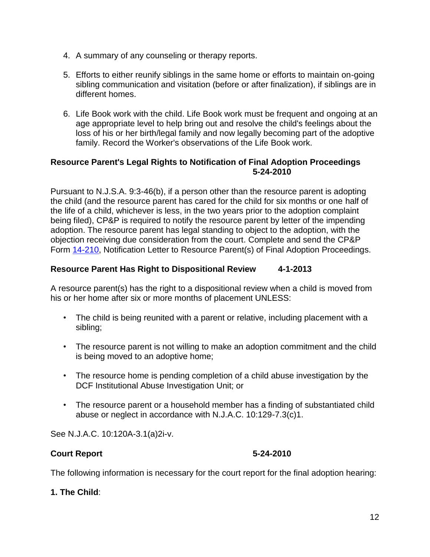- 4. A summary of any counseling or therapy reports.
- 5. Efforts to either reunify siblings in the same home or efforts to maintain on-going sibling communication and visitation (before or after finalization), if siblings are in different homes.
- 6. Life Book work with the child. Life Book work must be frequent and ongoing at an age appropriate level to help bring out and resolve the child's feelings about the loss of his or her birth/legal family and now legally becoming part of the adoptive family. Record the Worker's observations of the Life Book work.

#### **Resource Parent's Legal Rights to Notification of Final Adoption Proceedings 5-24-2010**

Pursuant to N.J.S.A. 9:3-46(b), if a person other than the resource parent is adopting the child (and the resource parent has cared for the child for six months or one half of the life of a child, whichever is less, in the two years prior to the adoption complaint being filed), CP&P is required to notify the resource parent by letter of the impending adoption. The resource parent has legal standing to object to the adoption, with the objection receiving due consideration from the court. Complete and send the CP&P Form [14-210,](CPP-X-A-1-14.210_issuance.shtml) Notification Letter to Resource Parent(s) of Final Adoption Proceedings.

# **Resource Parent Has Right to Dispositional Review 4-1-2013**

A resource parent(s) has the right to a dispositional review when a child is moved from his or her home after six or more months of placement UNLESS:

- The child is being reunited with a parent or relative, including placement with a sibling;
- The resource parent is not willing to make an adoption commitment and the child is being moved to an adoptive home;
- The resource home is pending completion of a child abuse investigation by the DCF Institutional Abuse Investigation Unit; or
- The resource parent or a household member has a finding of substantiated child abuse or neglect in accordance with N.J.A.C. 10:129-7.3(c)1.

See N.J.A.C. 10:120A-3.1(a)2i-v.

# **Court Report 5-24-2010**

The following information is necessary for the court report for the final adoption hearing:

# **1. The Child**: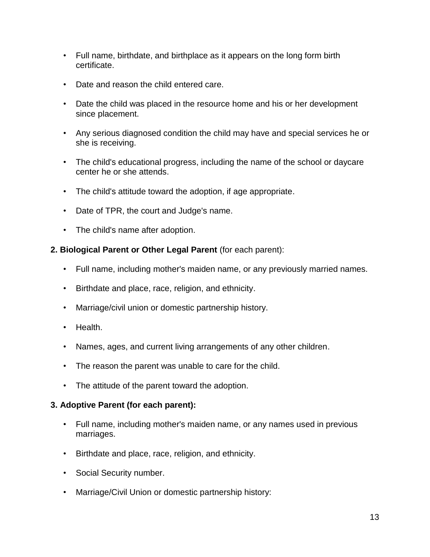- Full name, birthdate, and birthplace as it appears on the long form birth certificate.
- Date and reason the child entered care.
- Date the child was placed in the resource home and his or her development since placement.
- Any serious diagnosed condition the child may have and special services he or she is receiving.
- The child's educational progress, including the name of the school or daycare center he or she attends.
- The child's attitude toward the adoption, if age appropriate.
- Date of TPR, the court and Judge's name.
- The child's name after adoption.

# **2. Biological Parent or Other Legal Parent** (for each parent):

- Full name, including mother's maiden name, or any previously married names.
- Birthdate and place, race, religion, and ethnicity.
- Marriage/civil union or domestic partnership history.
- Health.
- Names, ages, and current living arrangements of any other children.
- The reason the parent was unable to care for the child.
- The attitude of the parent toward the adoption.

# **3. Adoptive Parent (for each parent):**

- Full name, including mother's maiden name, or any names used in previous marriages.
- Birthdate and place, race, religion, and ethnicity.
- Social Security number.
- Marriage/Civil Union or domestic partnership history: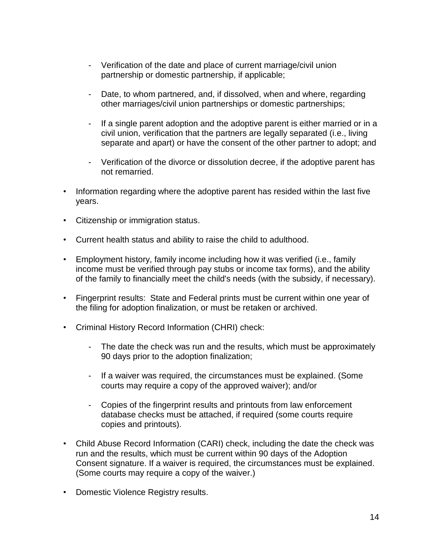- Verification of the date and place of current marriage/civil union partnership or domestic partnership, if applicable;
- Date, to whom partnered, and, if dissolved, when and where, regarding other marriages/civil union partnerships or domestic partnerships;
- If a single parent adoption and the adoptive parent is either married or in a civil union, verification that the partners are legally separated (i.e., living separate and apart) or have the consent of the other partner to adopt; and
- Verification of the divorce or dissolution decree, if the adoptive parent has not remarried.
- Information regarding where the adoptive parent has resided within the last five years.
- Citizenship or immigration status.
- Current health status and ability to raise the child to adulthood.
- Employment history, family income including how it was verified (i.e., family income must be verified through pay stubs or income tax forms), and the ability of the family to financially meet the child's needs (with the subsidy, if necessary).
- Fingerprint results: State and Federal prints must be current within one year of the filing for adoption finalization, or must be retaken or archived.
- Criminal History Record Information (CHRI) check:
	- The date the check was run and the results, which must be approximately 90 days prior to the adoption finalization;
	- If a waiver was required, the circumstances must be explained. (Some courts may require a copy of the approved waiver); and/or
	- Copies of the fingerprint results and printouts from law enforcement database checks must be attached, if required (some courts require copies and printouts).
- Child Abuse Record Information (CARI) check, including the date the check was run and the results, which must be current within 90 days of the Adoption Consent signature. If a waiver is required, the circumstances must be explained. (Some courts may require a copy of the waiver.)
- Domestic Violence Registry results.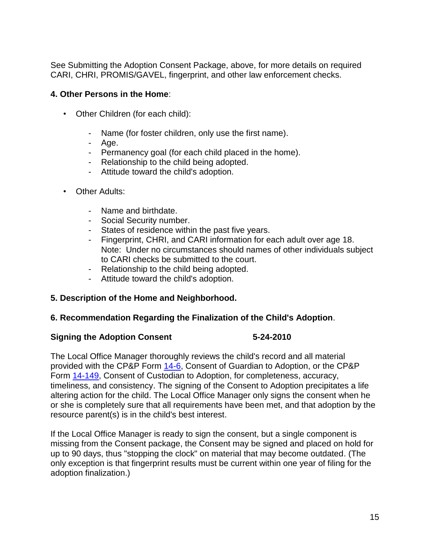See Submitting the Adoption Consent Package, above, for more details on required CARI, CHRI, PROMIS/GAVEL, fingerprint, and other law enforcement checks.

#### **4. Other Persons in the Home**:

- Other Children (for each child):
	- Name (for foster children, only use the first name).
	- Age.
	- Permanency goal (for each child placed in the home).
	- Relationship to the child being adopted.
	- Attitude toward the child's adoption.
- Other Adults:
	- Name and birthdate.
	- Social Security number.
	- States of residence within the past five years.
	- Fingerprint, CHRI, and CARI information for each adult over age 18. Note: Under no circumstances should names of other individuals subject to CARI checks be submitted to the court.
	- Relationship to the child being adopted.
	- Attitude toward the child's adoption.

# **5. Description of the Home and Neighborhood.**

# **6. Recommendation Regarding the Finalization of the Child's Adoption**.

#### **Signing the Adoption Consent 5-24-2010**

The Local Office Manager thoroughly reviews the child's record and all material provided with the CP&P Form [14-6,](CPP-X-A-1-14.6_issuance.shtml) Consent of Guardian to Adoption, or the CP&P Form [14-149,](CPP-X-A-1-14.149_issuance.shtml) Consent of Custodian to Adoption, for completeness, accuracy, timeliness, and consistency. The signing of the Consent to Adoption precipitates a life altering action for the child. The Local Office Manager only signs the consent when he or she is completely sure that all requirements have been met, and that adoption by the resource parent(s) is in the child's best interest.

If the Local Office Manager is ready to sign the consent, but a single component is missing from the Consent package, the Consent may be signed and placed on hold for up to 90 days, thus "stopping the clock" on material that may become outdated. (The only exception is that fingerprint results must be current within one year of filing for the adoption finalization.)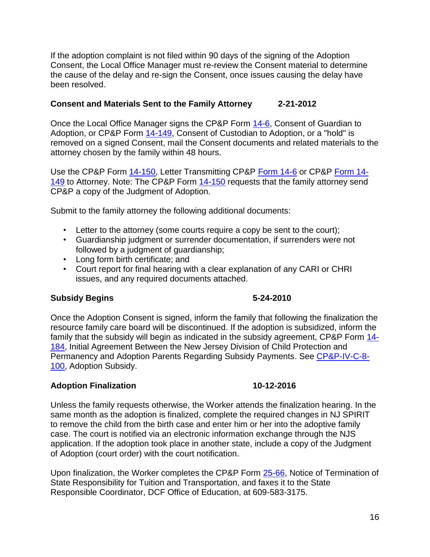If the adoption complaint is not filed within 90 days of the signing of the Adoption Consent, the Local Office Manager must re-review the Consent material to determine the cause of the delay and re-sign the Consent, once issues causing the delay have been resolved.

### **Consent and Materials Sent to the Family Attorney 2-21-2012**

Once the Local Office Manager signs the CP&P Form [14-6,](CPP-X-A-1-14.6_issuance.shtml) Consent of Guardian to Adoption, or CP&P Form [14-149,](CPP-X-A-1-14.149_issuance.shtml) Consent of Custodian to Adoption, or a "hold" is removed on a signed Consent, mail the Consent documents and related materials to the attorney chosen by the family within 48 hours.

Use the CP&P Form [14-150,](CPP-X-A-1-14.150_issuance.shtml) Letter Transmitting CP&P [Form 14-6](CPP-X-A-1-14.6_issuance.shtml) or CP&P [Form 14-](CPP-X-A-1-14.149_issuance.shtml) [149](CPP-X-A-1-14.149_issuance.shtml) to Attorney. Note: The CP&P Form [14-150](CPP-X-A-1-14.150_issuance.shtml) requests that the family attorney send CP&P a copy of the Judgment of Adoption.

Submit to the family attorney the following additional documents:

- Letter to the attorney (some courts require a copy be sent to the court);
- Guardianship judgment or surrender documentation, if surrenders were not followed by a judgment of guardianship;
- Long form birth certificate; and
- Court report for final hearing with a clear explanation of any CARI or CHRI issues, and any required documents attached.

# **Subsidy Begins 5-24-2010**

Once the Adoption Consent is signed, inform the family that following the finalization the resource family care board will be discontinued. If the adoption is subsidized, inform the family that the subsidy will begin as indicated in the subsidy agreement, CP&P Form [14-](CPP-X-A-1-14.184_issuance.shtml) [184,](CPP-X-A-1-14.184_issuance.shtml) Initial Agreement Between the New Jersey Division of Child Protection and Permanency and Adoption Parents Regarding Subsidy Payments. See [CP&P-IV-C-8-](CPP-IV-C-8-100_issuance.shtml) [100,](CPP-IV-C-8-100_issuance.shtml) Adoption Subsidy.

#### **Adoption Finalization 10-12-2016**

Unless the family requests otherwise, the Worker attends the finalization hearing. In the same month as the adoption is finalized, complete the required changes in NJ SPIRIT to remove the child from the birth case and enter him or her into the adoptive family case. The court is notified via an electronic information exchange through the NJS application. If the adoption took place in another state, include a copy of the Judgment of Adoption (court order) with the court notification.

Upon finalization, the Worker completes the CP&P Form [25-66,](CPP-X-A-1-25.66_issuance.shtml) Notice of Termination of State Responsibility for Tuition and Transportation, and faxes it to the State Responsible Coordinator, DCF Office of Education, at 609-583-3175.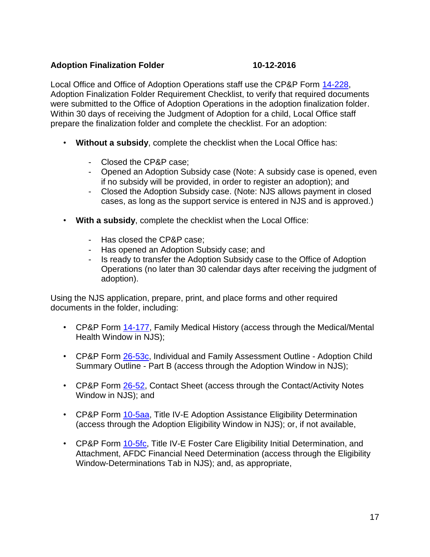# **Adoption Finalization Folder 10-12-2016**

Local Office and Office of Adoption Operations staff use the CP&P Form [14-228,](CPP-X-A-1-14.228_issuance.shtml) Adoption Finalization Folder Requirement Checklist, to verify that required documents were submitted to the Office of Adoption Operations in the adoption finalization folder. Within 30 days of receiving the Judgment of Adoption for a child, Local Office staff prepare the finalization folder and complete the checklist. For an adoption:

- **Without a subsidy**, complete the checklist when the Local Office has:
	- Closed the CP&P case;
	- Opened an Adoption Subsidy case (Note: A subsidy case is opened, even if no subsidy will be provided, in order to register an adoption); and
	- Closed the Adoption Subsidy case. (Note: NJS allows payment in closed cases, as long as the support service is entered in NJS and is approved.)
- **With a subsidy**, complete the checklist when the Local Office:
	- Has closed the CP&P case;
	- Has opened an Adoption Subsidy case; and
	- Is ready to transfer the Adoption Subsidy case to the Office of Adoption Operations (no later than 30 calendar days after receiving the judgment of adoption).

Using the NJS application, prepare, print, and place forms and other required documents in the folder, including:

- CP&P Form [14-177,](CPP-X-A-1-14.177_issuance.shtml) Family Medical History (access through the Medical/Mental Health Window in NJS);
- CP&P Form [26-53c,](CPP-X-A-1-26.53c_issuance.shtml) Individual and Family Assessment Outline Adoption Child Summary Outline - Part B (access through the Adoption Window in NJS);
- CP&P Form [26-52,](CPP-X-A-1-26.52_issuance.shtml) Contact Sheet (access through the Contact/Activity Notes Window in NJS); and
- CP&P Form [10-5aa,](CPP-X-A-1-10.5aa_issuance.shtml) Title IV-E Adoption Assistance Eligibility Determination (access through the Adoption Eligibility Window in NJS); or, if not available,
- CP&P Form [10-5fc,](CPP-X-A-1-10.5fc_issuance.shtml) Title IV-E Foster Care Eligibility Initial Determination, and Attachment, AFDC Financial Need Determination (access through the Eligibility Window-Determinations Tab in NJS); and, as appropriate,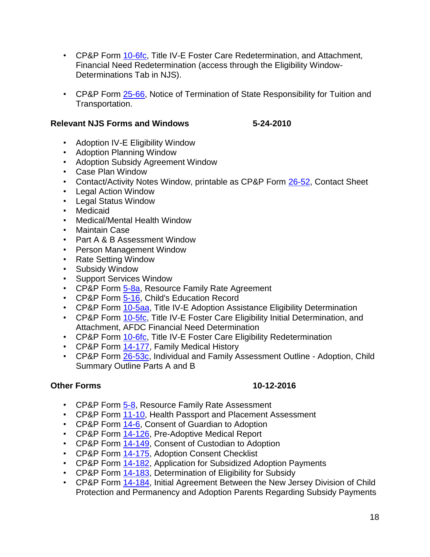- CP&P Form [10-6fc,](CPP-X-A-1-10.6fc_issuance.shtml) Title IV-E Foster Care Redetermination, and Attachment, Financial Need Redetermination (access through the Eligibility Window-Determinations Tab in NJS).
- CP&P Form [25-66,](CPP-X-A-1-25.66_issuance.shtml) Notice of Termination of State Responsibility for Tuition and Transportation.

#### **Relevant NJS Forms and Windows 5-24-2010**

- Adoption IV-E Eligibility Window
- Adoption Planning Window
- Adoption Subsidy Agreement Window
- Case Plan Window
- Contact/Activity Notes Window, printable as CP&P Form [26-52,](CPP-X-A-1-26.52_issuance.shtml) Contact Sheet
- Legal Action Window
- Legal Status Window
- Medicaid
- Medical/Mental Health Window
- Maintain Case
- Part A & B Assessment Window
- Person Management Window
- Rate Setting Window
- Subsidy Window
- Support Services Window
- CP&P Form [5-8a,](CPP-X-A-1-5.8a_issuance.shtml) Resource Family Rate Agreement
- CP&P Form [5-16,](CPP-X-A-1-5.16_issuance.shtml) Child's Education Record
- CP&P Form [10-5aa,](CPP-X-A-1-10.5aa_issuance.shtml) Title IV-E Adoption Assistance Eligibility Determination
- CP&P Form [10-5fc,](CPP-X-A-1-10.5fc_issuance.shtml) Title IV-E Foster Care Eligibility Initial Determination, and Attachment, AFDC Financial Need Determination
- CP&P Form [10-6fc,](CPP-X-A-1-10.6fc_issuance.shtml) Title IV-E Foster Care Eligibility Redetermination
- CP&P Form [14-177,](CPP-X-A-1-14.177_issuance.shtml) Family Medical History
- CP&P Form [26-53c,](CPP-X-A-1-26.53c_issuance.shtml) Individual and Family Assessment Outline Adoption, Child Summary Outline Parts A and B

# **Other Forms 10-12-2016**

- CP&P Form [5-8,](CPP-X-A-1-5.8_issuance.shtml) Resource Family Rate Assessment
- CP&P Form [11-10,](CPP-X-A-1-11.1_issuance.shtml) Health Passport and Placement Assessment
- CP&P Form [14-6,](CPP-X-A-1-14.6_issuance.shtml) Consent of Guardian to Adoption
- CP&P Form [14-126,](CPP-X-A-1-14.126_issuance.shtml) Pre-Adoptive Medical Report
- CP&P Form [14-149,](CPP-X-A-1-14.149_issuance.shtml) Consent of Custodian to Adoption
- CP&P Form [14-175,](CPP-X-A-1-14.175_issuance.shtml) Adoption Consent Checklist
- CP&P Form [14-182,](CPP-X-A-1-14.182_issuance.shtml) Application for Subsidized Adoption Payments
- CP&P Form [14-183,](CPP-X-A-1-14.183_issuance.shtml) Determination of Eligibility for Subsidy
- CP&P Form  $14-184$ , Initial Agreement Between the New Jersey Division of Child Protection and Permanency and Adoption Parents Regarding Subsidy Payments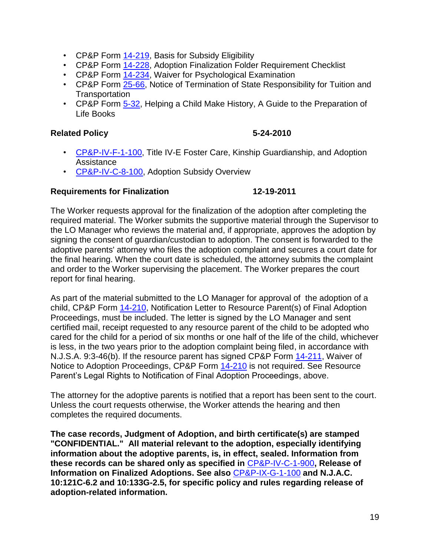- CP&P Form [14-219,](CPP-X-A-1-14.219_issuance.shtml) Basis for Subsidy Eligibility
- CP&P Form [14-228,](CPP-X-A-1-14.228_issuance.shtml) Adoption Finalization Folder Requirement Checklist
- CP&P Form [14-234,](CPP-X-A-1-14.234_issuance.shtml) Waiver for Psychological Examination
- CP&P Form [25-66,](CPP-X-A-1-25.66_issuance.shtml) Notice of Termination of State Responsibility for Tuition and **Transportation**
- CP&P Form [5-32,](CPP-X-A-1-5.32_issuance.shtml) Helping a Child Make History, A Guide to the Preparation of Life Books

### **Related Policy 5-24-2010**

- [CP&P-IV-F-1-100,](CPP-IV-F-1-100_issuance.shtml) Title IV-E Foster Care, Kinship Guardianship, and Adoption Assistance
- [CP&P-IV-C-8-100,](CPP-IV-C-8-100_issuance.shtml) Adoption Subsidy Overview

#### **Requirements for Finalization 12-19-2011**

The Worker requests approval for the finalization of the adoption after completing the required material. The Worker submits the supportive material through the Supervisor to the LO Manager who reviews the material and, if appropriate, approves the adoption by signing the consent of guardian/custodian to adoption. The consent is forwarded to the adoptive parents' attorney who files the adoption complaint and secures a court date for the final hearing. When the court date is scheduled, the attorney submits the complaint and order to the Worker supervising the placement. The Worker prepares the court report for final hearing.

As part of the material submitted to the LO Manager for approval of the adoption of a child, CP&P Form [14-210,](CPP-X-A-1-14.210_issuance.shtml) Notification Letter to Resource Parent(s) of Final Adoption Proceedings, must be included. The letter is signed by the LO Manager and sent certified mail, receipt requested to any resource parent of the child to be adopted who cared for the child for a period of six months or one half of the life of the child, whichever is less, in the two years prior to the adoption complaint being filed, in accordance with N.J.S.A. 9:3-46(b). If the resource parent has signed CP&P Form [14-211,](CPP-X-A-1-14.211_issuance.shtml) Waiver of Notice to Adoption Proceedings, CP&P Form [14-210](CPP-X-A-1-14.210_issuance.shtml) is not required. See Resource Parent's Legal Rights to Notification of Final Adoption Proceedings, above.

The attorney for the adoptive parents is notified that a report has been sent to the court. Unless the court requests otherwise, the Worker attends the hearing and then completes the required documents.

**The case records, Judgment of Adoption, and birth certificate(s) are stamped "CONFIDENTIAL." All material relevant to the adoption, especially identifying information about the adoptive parents, is, in effect, sealed. Information from these records can be shared only as specified in** [CP&P-IV-C-1-900](CPP-IV-C-1-900_issuance.shtml)**, Release of Information on Finalized Adoptions. See also** [CP&P-IX-G-1-100](CPP-IX-G-1-100_issuance.shtml) **and N.J.A.C. 10:121C-6.2 and 10:133G-2.5, for specific policy and rules regarding release of adoption-related information.**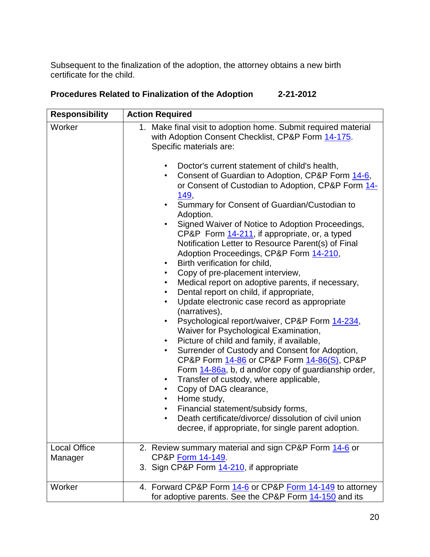Subsequent to the finalization of the adoption, the attorney obtains a new birth certificate for the child.

| <b>Responsibility</b>          | <b>Action Required</b>                                                                                                                                                                                                                                                                                                                                                                                                                                                                                                                                                                                                                                                                                                                                                                                                                                                                                                                                                                                                                                                                                                                                                                                                                                                                                                                                                                                                                                                                                                                                                                |
|--------------------------------|---------------------------------------------------------------------------------------------------------------------------------------------------------------------------------------------------------------------------------------------------------------------------------------------------------------------------------------------------------------------------------------------------------------------------------------------------------------------------------------------------------------------------------------------------------------------------------------------------------------------------------------------------------------------------------------------------------------------------------------------------------------------------------------------------------------------------------------------------------------------------------------------------------------------------------------------------------------------------------------------------------------------------------------------------------------------------------------------------------------------------------------------------------------------------------------------------------------------------------------------------------------------------------------------------------------------------------------------------------------------------------------------------------------------------------------------------------------------------------------------------------------------------------------------------------------------------------------|
| Worker                         | 1. Make final visit to adoption home. Submit required material<br>with Adoption Consent Checklist, CP&P Form 14-175.<br>Specific materials are:<br>Doctor's current statement of child's health,<br>$\bullet$<br>Consent of Guardian to Adoption, CP&P Form 14-6,<br>$\bullet$<br>or Consent of Custodian to Adoption, CP&P Form 14-<br><u>149,</u><br>Summary for Consent of Guardian/Custodian to<br>$\bullet$<br>Adoption.<br>Signed Waiver of Notice to Adoption Proceedings,<br>$\bullet$<br>CP&P Form 14-211, if appropriate, or, a typed<br>Notification Letter to Resource Parent(s) of Final<br>Adoption Proceedings, CP&P Form 14-210,<br>Birth verification for child,<br>$\bullet$<br>Copy of pre-placement interview,<br>$\bullet$<br>Medical report on adoptive parents, if necessary,<br>$\bullet$<br>Dental report on child, if appropriate,<br>$\bullet$<br>Update electronic case record as appropriate<br>$\bullet$<br>(narratives),<br>Psychological report/waiver, CP&P Form 14-234,<br>$\bullet$<br>Waiver for Psychological Examination,<br>Picture of child and family, if available,<br>$\bullet$<br>Surrender of Custody and Consent for Adoption,<br>$\bullet$<br>CP&P Form 14-86 or CP&P Form 14-86(S), CP&P<br>Form 14-86a, b, d and/or copy of guardianship order,<br>Transfer of custody, where applicable,<br>$\bullet$<br>Copy of DAG clearance,<br>$\bullet$<br>Home study,<br>$\bullet$<br>Financial statement/subsidy forms,<br>Death certificate/divorce/ dissolution of civil union<br>٠<br>decree, if appropriate, for single parent adoption. |
| <b>Local Office</b><br>Manager | 2. Review summary material and sign CP&P Form 14-6 or<br>CP&P Form 14-149.<br>3. Sign CP&P Form 14-210, if appropriate                                                                                                                                                                                                                                                                                                                                                                                                                                                                                                                                                                                                                                                                                                                                                                                                                                                                                                                                                                                                                                                                                                                                                                                                                                                                                                                                                                                                                                                                |
| Worker                         | 4. Forward CP&P Form 14-6 or CP&P Form 14-149 to attorney<br>for adoptive parents. See the CP&P Form 14-150 and its                                                                                                                                                                                                                                                                                                                                                                                                                                                                                                                                                                                                                                                                                                                                                                                                                                                                                                                                                                                                                                                                                                                                                                                                                                                                                                                                                                                                                                                                   |

# **Procedures Related to Finalization of the Adoption 2-21-2012**